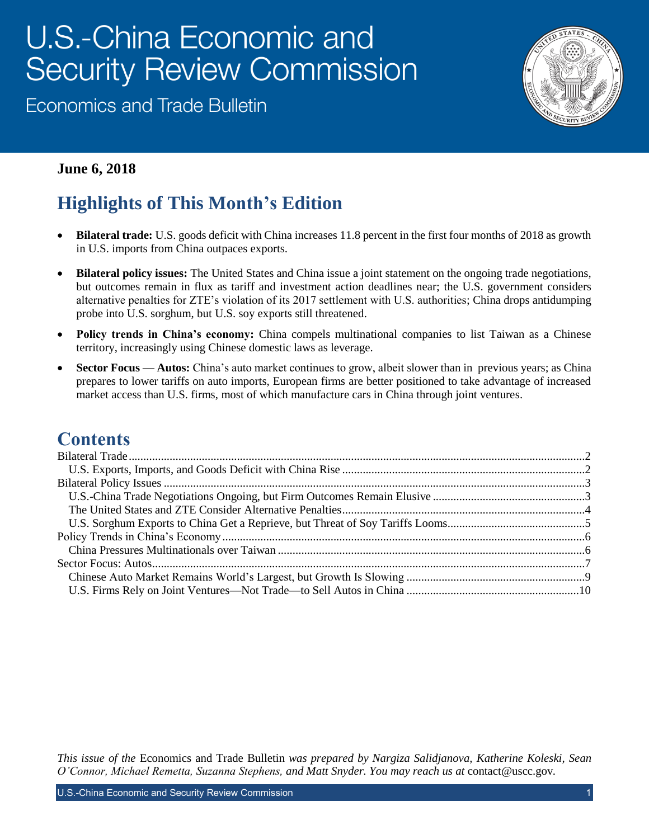# U.S.-China Economic and **Security Review Commission**

**Economics and Trade Bulletin** 



#### **June 6, 2018**

# **Highlights of This Month's Edition**

- **Bilateral trade:** U.S. goods deficit with China increases 11.8 percent in the first four months of 2018 as growth in U.S. imports from China outpaces exports.
- **Bilateral policy issues:** The United States and China issue a joint statement on the ongoing trade negotiations, but outcomes remain in flux as tariff and investment action deadlines near; the U.S. government considers alternative penalties for ZTE's violation of its 2017 settlement with U.S. authorities; China drops antidumping probe into U.S. sorghum, but U.S. soy exports still threatened.
- **Policy trends in China's economy:** China compels multinational companies to list Taiwan as a Chinese territory, increasingly using Chinese domestic laws as leverage.
- **Sector Focus Autos:** China's auto market continues to grow, albeit slower than in previous years; as China prepares to lower tariffs on auto imports, European firms are better positioned to take advantage of increased market access than U.S. firms, most of which manufacture cars in China through joint ventures.

### **Contents**

*This issue of the* Economics and Trade Bulletin *was prepared by Nargiza Salidjanova, Katherine Koleski, Sean O'Connor, Michael Remetta, Suzanna Stephens, and Matt Snyder. You may reach us at* [contact@uscc.gov](mailto:contact@uscc.gov)*.*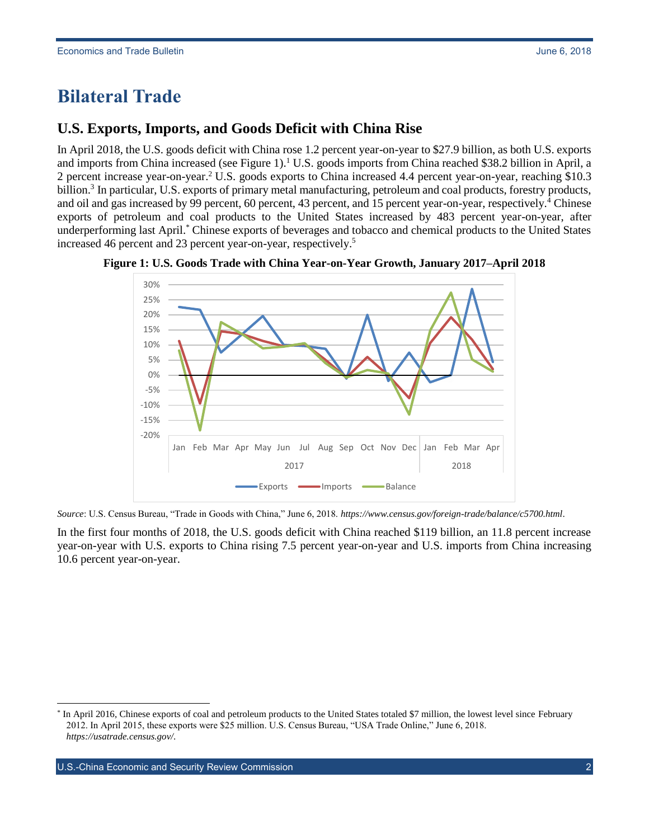### <span id="page-1-0"></span>**Bilateral Trade**

### <span id="page-1-1"></span>**U.S. Exports, Imports, and Goods Deficit with China Rise**

In April 2018, the U.S. goods deficit with China rose 1.2 percent year-on-year to \$27.9 billion, as both U.S. exports and imports from China increased (see Figure 1).<sup>1</sup> U.S. goods imports from China reached \$38.2 billion in April, a 2 percent increase year-on-year.<sup>2</sup> U.S. goods exports to China increased 4.4 percent year-on-year, reaching \$10.3 billion.<sup>3</sup> In particular, U.S. exports of primary metal manufacturing, petroleum and coal products, forestry products, and oil and gas increased by 99 percent, 60 percent, 43 percent, and 15 percent year-on-year, respectively.<sup>4</sup> Chinese exports of petroleum and coal products to the United States increased by 483 percent year-on-year, after underperforming last April.\* Chinese exports of beverages and tobacco and chemical products to the United States increased 46 percent and 23 percent year-on-year, respectively.<sup>5</sup>





*Source*: U.S. Census Bureau, "Trade in Goods with China," June 6, 2018. *<https://www.census.gov/foreign-trade/balance/c5700.html>*.

<span id="page-1-2"></span>In the first four months of 2018, the U.S. goods deficit with China reached \$119 billion, an 11.8 percent increase year-on-year with U.S. exports to China rising 7.5 percent year-on-year and U.S. imports from China increasing 10.6 percent year-on-year.

<sup>\*</sup> In April 2016, Chinese exports of coal and petroleum products to the United States totaled \$7 million, the lowest level since February 2012. In April 2015, these exports were \$25 million. U.S. Census Bureau, "USA Trade Online," June 6, 2018. *<https://usatrade.census.gov/>*.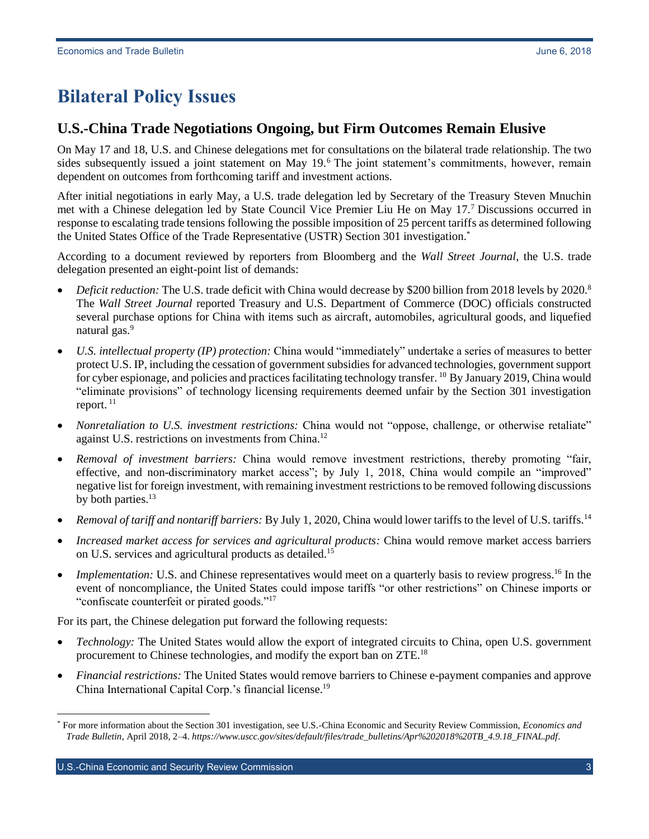## **Bilateral Policy Issues**

#### <span id="page-2-0"></span>**U.S.-China Trade Negotiations Ongoing, but Firm Outcomes Remain Elusive**

On May 17 and 18, U.S. and Chinese delegations met for consultations on the bilateral trade relationship. The two sides subsequently issued a joint statement on May 19.<sup>6</sup> The joint statement's commitments, however, remain dependent on outcomes from forthcoming tariff and investment actions.

After initial negotiations in early May, a U.S. trade delegation led by Secretary of the Treasury Steven Mnuchin met with a Chinese delegation led by State Council Vice Premier Liu He on May 17.<sup>7</sup> Discussions occurred in response to escalating trade tensions following the possible imposition of 25 percent tariffs as determined following the United States Office of the Trade Representative (USTR) Section 301 investigation.\*

According to a document reviewed by reporters from Bloomberg and the *Wall Street Journal*, the U.S. trade delegation presented an eight-point list of demands:

- *Deficit reduction:* The U.S. trade deficit with China would decrease by \$200 billion from 2018 levels by 2020.<sup>8</sup> The *Wall Street Journal* reported Treasury and U.S. Department of Commerce (DOC) officials constructed several purchase options for China with items such as aircraft, automobiles, agricultural goods, and liquefied natural gas.<sup>9</sup>
- *U.S. intellectual property (IP) protection:* China would "immediately" undertake a series of measures to better protect U.S. IP, including the cessation of government subsidies for advanced technologies, government support for cyber espionage, and policies and practices facilitating technology transfer. <sup>10</sup> By January 2019, China would "eliminate provisions" of technology licensing requirements deemed unfair by the Section 301 investigation report.<sup>11</sup>
- *Nonretaliation to U.S. investment restrictions:* China would not "oppose, challenge, or otherwise retaliate" against U.S. restrictions on investments from China.<sup>12</sup>
- *Removal of investment barriers:* China would remove investment restrictions, thereby promoting "fair, effective, and non-discriminatory market access"; by July 1, 2018, China would compile an "improved" negative list for foreign investment, with remaining investment restrictions to be removed following discussions by both parties.<sup>13</sup>
- *Removal of tariff and nontariff barriers:* By July 1, 2020, China would lower tariffs to the level of U.S. tariffs.<sup>14</sup>
- *Increased market access for services and agricultural products:* China would remove market access barriers on U.S. services and agricultural products as detailed.<sup>15</sup>
- *Implementation:* U.S. and Chinese representatives would meet on a quarterly basis to review progress.<sup>16</sup> In the event of noncompliance, the United States could impose tariffs "or other restrictions" on Chinese imports or "confiscate counterfeit or pirated goods."<sup>17</sup>

For its part, the Chinese delegation put forward the following requests:

- *Technology:* The United States would allow the export of integrated circuits to China, open U.S. government procurement to Chinese technologies, and modify the export ban on ZTE.<sup>18</sup>
- *Financial restrictions:* The United States would remove barriers to Chinese e-payment companies and approve China International Capital Corp.'s financial license.<sup>19</sup>

U.S.-China Economic and Security Review Commission 3

<sup>\*</sup> For more information about the Section 301 investigation, see U.S.-China Economic and Security Review Commission, *Economics and Trade Bulletin*, April 2018, 2–4. *[https://www.uscc.gov/sites/default/files/trade\\_bulletins/Apr%202018%20TB\\_4.9.18\\_FINAL.pdf](https://www.uscc.gov/sites/default/files/trade_bulletins/Apr%202018%20TB_4.9.18_FINAL.pdf)*.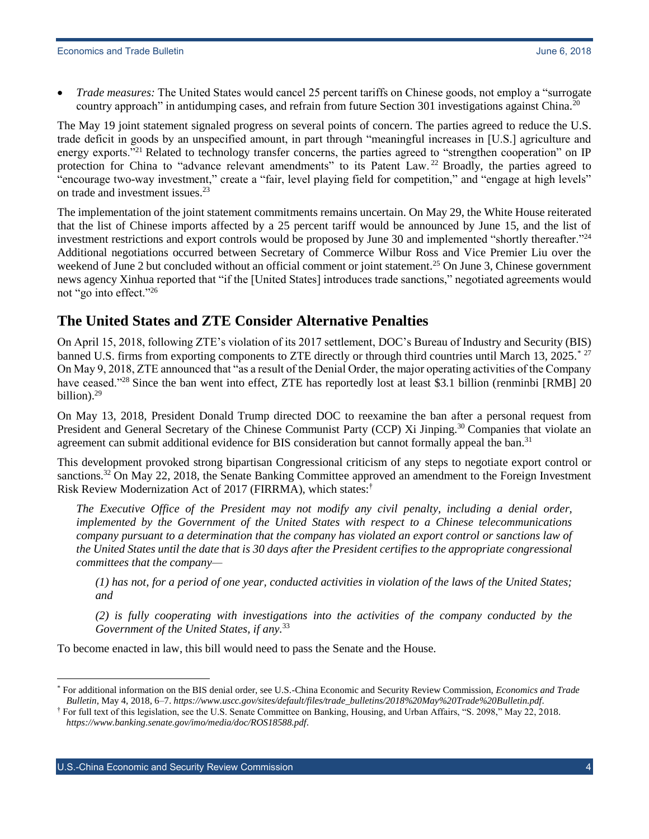*Trade measures:* The United States would cancel 25 percent tariffs on Chinese goods, not employ a "surrogate country approach" in antidumping cases, and refrain from future Section 301 investigations against China.<sup>20</sup>

The May 19 joint statement signaled progress on several points of concern. The parties agreed to reduce the U.S. trade deficit in goods by an unspecified amount, in part through "meaningful increases in [U.S.] agriculture and energy exports.<sup>"21</sup> Related to technology transfer concerns, the parties agreed to "strengthen cooperation" on IP protection for China to "advance relevant amendments" to its Patent Law.<sup>22</sup> Broadly, the parties agreed to "encourage two-way investment," create a "fair, level playing field for competition," and "engage at high levels" on trade and investment issues.<sup>23</sup>

The implementation of the joint statement commitments remains uncertain. On May 29, the White House reiterated that the list of Chinese imports affected by a 25 percent tariff would be announced by June 15, and the list of investment restrictions and export controls would be proposed by June 30 and implemented "shortly thereafter." 24 Additional negotiations occurred between Secretary of Commerce Wilbur Ross and Vice Premier Liu over the weekend of June 2 but concluded without an official comment or joint statement.<sup>25</sup> On June 3, Chinese government news agency Xinhua reported that "if the [United States] introduces trade sanctions," negotiated agreements would not "go into effect."<sup>26</sup>

#### <span id="page-3-0"></span>**The United States and ZTE Consider Alternative Penalties**

On April 15, 2018, following ZTE's violation of its 2017 settlement, DOC's Bureau of Industry and Security (BIS) banned U.S. firms from exporting components to ZTE directly or through third countries until March 13, 2025.<sup>\* 27</sup> On May 9, 2018, ZTE announced that "as a result of the Denial Order, the major operating activities of the Company have ceased."<sup>28</sup> Since the ban went into effect, ZTE has reportedly lost at least \$3.1 billion (renminbi [RMB] 20 billion).<sup>29</sup>

On May 13, 2018, President Donald Trump directed DOC to reexamine the ban after a personal request from President and General Secretary of the Chinese Communist Party (CCP) Xi Jinping.<sup>30</sup> Companies that violate an agreement can submit additional evidence for BIS consideration but cannot formally appeal the ban.<sup>31</sup>

This development provoked strong bipartisan Congressional criticism of any steps to negotiate export control or sanctions.<sup>32</sup> On May 22, 2018, the Senate Banking Committee approved an amendment to the Foreign Investment Risk Review Modernization Act of 2017 (FIRRMA), which states:†

*The Executive Office of the President may not modify any civil penalty, including a denial order, implemented by the Government of the United States with respect to a Chinese telecommunications company pursuant to a determination that the company has violated an export control or sanctions law of the United States until the date that is 30 days after the President certifies to the appropriate congressional committees that the company—*

*(1) has not, for a period of one year, conducted activities in violation of the laws of the United States; and*

*(2) is fully cooperating with investigations into the activities of the company conducted by the Government of the United States, if any.*<sup>33</sup>

To become enacted in law, this bill would need to pass the Senate and the House.

U.S.-China Economic and Security Review Commission 4

l \* For additional information on the BIS denial order, see U.S.-China Economic and Security Review Commission, *Economics and Trade Bulletin*, May 4, 2018, 6–7. *[https://www.uscc.gov/sites/default/files/trade\\_bulletins/2018%20May%20Trade%20Bulletin.pdf](https://www.uscc.gov/sites/default/files/trade_bulletins/2018%20May%20Trade%20Bulletin.pdf)*.

<sup>†</sup> For full text of this legislation, see the U.S. Senate Committee on Banking, Housing, and Urban Affairs, "S. 2098," May 22, 2018. *<https://www.banking.senate.gov/imo/media/doc/ROS18588.pdf>*.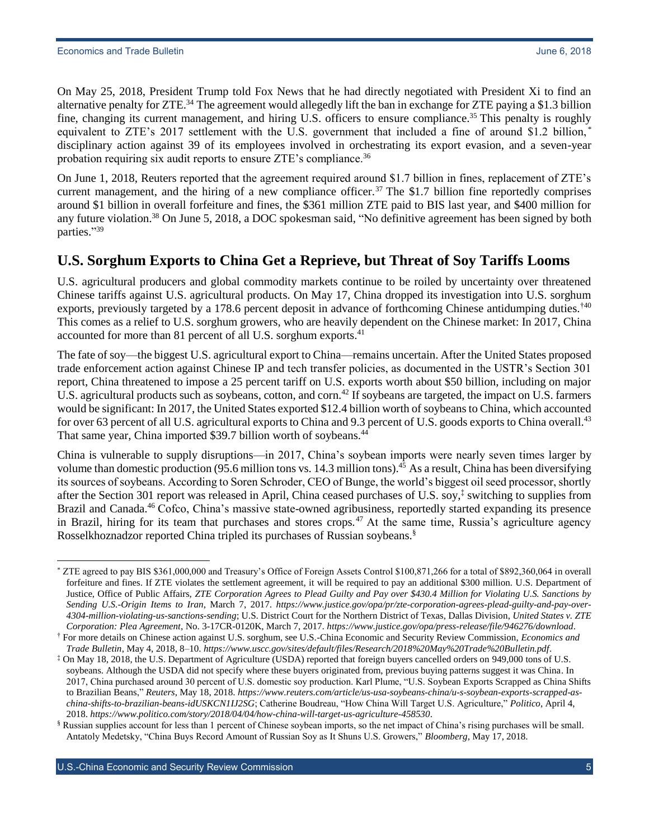On May 25, 2018, President Trump told Fox News that he had directly negotiated with President Xi to find an alternative penalty for ZTE.<sup>34</sup> The agreement would allegedly lift the ban in exchange for ZTE paying a \$1.3 billion fine, changing its current management, and hiring U.S. officers to ensure compliance.<sup>35</sup> This penalty is roughly equivalent to ZTE's 2017 settlement with the U.S. government that included a fine of around \$1.2 billion,<sup>\*</sup> disciplinary action against 39 of its employees involved in orchestrating its export evasion, and a seven-year probation requiring six audit reports to ensure ZTE's compliance.<sup>36</sup>

On June 1, 2018, Reuters reported that the agreement required around \$1.7 billion in fines, replacement of ZTE's current management, and the hiring of a new compliance officer.<sup>37</sup> The \$1.7 billion fine reportedly comprises around \$1 billion in overall forfeiture and fines, the \$361 million ZTE paid to BIS last year, and \$400 million for any future violation.<sup>38</sup> On June 5, 2018, a DOC spokesman said, "No definitive agreement has been signed by both parties." 39

#### <span id="page-4-0"></span>**U.S. Sorghum Exports to China Get a Reprieve, but Threat of Soy Tariffs Looms**

U.S. agricultural producers and global commodity markets continue to be roiled by uncertainty over threatened Chinese tariffs against U.S. agricultural products. On May 17, China dropped its investigation into U.S. sorghum exports, previously targeted by a 178.6 percent deposit in advance of forthcoming Chinese antidumping duties.<sup>†40</sup> This comes as a relief to U.S. sorghum growers, who are heavily dependent on the Chinese market: In 2017, China accounted for more than 81 percent of all U.S. sorghum exports.<sup>41</sup>

The fate of soy—the biggest U.S. agricultural export to China—remains uncertain. After the United States proposed trade enforcement action against Chinese IP and tech transfer policies, as documented in the USTR's Section 301 report, China threatened to impose a 25 percent tariff on U.S. exports worth about \$50 billion, including on major U.S. agricultural products such as soybeans, cotton, and corn.<sup>42</sup> If soybeans are targeted, the impact on U.S. farmers would be significant: In 2017, the United States exported \$12.4 billion worth of soybeans to China, which accounted for over 63 percent of all U.S. agricultural exports to China and 9.3 percent of U.S. goods exports to China overall.<sup>43</sup> That same year, China imported \$39.7 billion worth of soybeans.<sup>44</sup>

China is vulnerable to supply disruptions—in 2017, China's soybean imports were nearly seven times larger by volume than domestic production (95.6 million tons vs. 14.3 million tons).<sup>45</sup> As a result, China has been diversifying its sources of soybeans. According to Soren Schroder, CEO of Bunge, the world's biggest oil seed processor, shortly after the Section 301 report was released in April, China ceased purchases of U.S. soy,‡ switching to supplies from Brazil and Canada.<sup>46</sup> Cofco, China's massive state-owned agribusiness, reportedly started expanding its presence in Brazil, hiring for its team that purchases and stores crops.<sup>47</sup> At the same time, Russia's agriculture agency Rosselkhoznadzor reported China tripled its purchases of Russian soybeans.§

 $\overline{a}$ \* ZTE agreed to pay BIS \$361,000,000 and Treasury's Office of Foreign Assets Control \$100,871,266 for a total of \$892,360,064 in overall forfeiture and fines. If ZTE violates the settlement agreement, it will be required to pay an additional \$300 million. U.S. Department of Justice, Office of Public Affairs, *ZTE Corporation Agrees to Plead Guilty and Pay over \$430.4 Million for Violating U.S. Sanctions by Sending U.S.-Origin Items to Iran*, March 7, 2017. *[https://www.justice.gov/opa/pr/zte-corporation-agrees-plead-guilty-and-pay-over-](https://www.justice.gov/opa/pr/zte-corporation-agrees-plead-guilty-and-pay-over-4304-million-violating-us-sanctions-sending)[4304-million-violating-us-sanctions-sending](https://www.justice.gov/opa/pr/zte-corporation-agrees-plead-guilty-and-pay-over-4304-million-violating-us-sanctions-sending)*; U.S. District Court for the Northern District of Texas, Dallas Division, *United States v. ZTE Corporation: Plea Agreement*, No. 3-17CR-0120K, March 7, 2017. *<https://www.justice.gov/opa/press-release/file/946276/download>*.

<sup>†</sup> For more details on Chinese action against U.S. sorghum, see U.S.-China Economic and Security Review Commission, *Economics and Trade Bulletin*, May 4, 2018, 8–10. *<https://www.uscc.gov/sites/default/files/Research/2018%20May%20Trade%20Bulletin.pdf>*.

<sup>‡</sup> On May 18, 2018, the U.S. Department of Agriculture (USDA) reported that foreign buyers cancelled orders on 949,000 tons of U.S. soybeans. Although the USDA did not specify where these buyers originated from, previous buying patterns suggest it was China. In 2017, China purchased around 30 percent of U.S. domestic soy production. Karl Plume, "U.S. Soybean Exports Scrapped as China Shifts to Brazilian Beans," *Reuters*, May 18, 2018. *[https://www.reuters.com/article/us-usa-soybeans-china/u-s-soybean-exports-scrapped-as](https://www.reuters.com/article/us-usa-soybeans-china/u-s-soybean-exports-scrapped-as-china-shifts-to-brazilian-beans-idUSKCN1IJ2SG)[china-shifts-to-brazilian-beans-idUSKCN1IJ2SG](https://www.reuters.com/article/us-usa-soybeans-china/u-s-soybean-exports-scrapped-as-china-shifts-to-brazilian-beans-idUSKCN1IJ2SG)*; Catherine Boudreau, "How China Will Target U.S. Agriculture," *Politico*, April 4, 2018. *<https://www.politico.com/story/2018/04/04/how-china-will-target-us-agriculture-458530>*.

<sup>§</sup> Russian supplies account for less than 1 percent of Chinese soybean imports, so the net impact of China's rising purchases will be small. Antatoly Medetsky, "China Buys Record Amount of Russian Soy as It Shuns U.S. Growers," *Bloomberg*, May 17, 2018.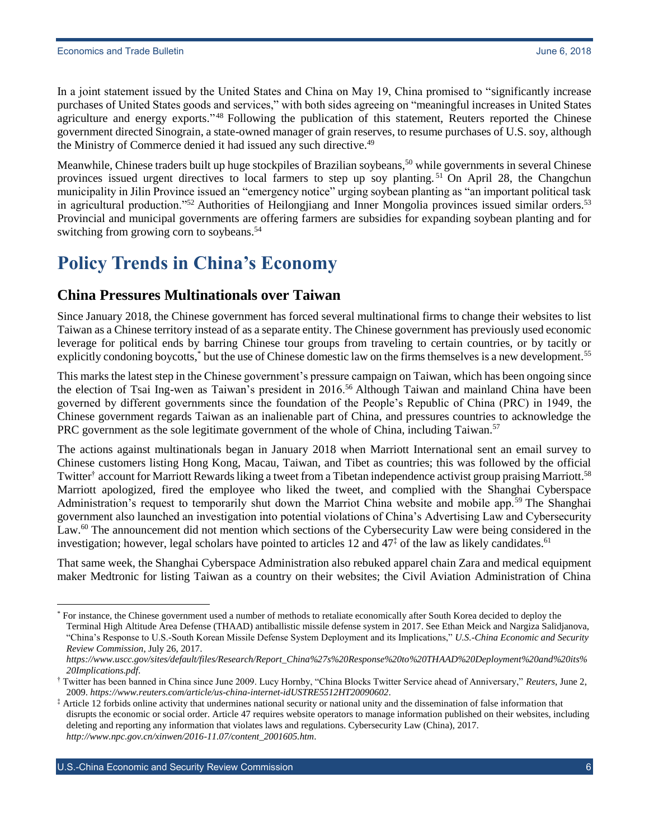In a joint statement issued by the United States and China on May 19, China promised to "significantly increase purchases of United States goods and services," with both sides agreeing on "meaningful increases in United States agriculture and energy exports."<sup>48</sup> Following the publication of this statement, Reuters reported the Chinese government directed Sinograin, a state-owned manager of grain reserves, to resume purchases of U.S. soy, although the Ministry of Commerce denied it had issued any such directive.<sup>49</sup>

Meanwhile, Chinese traders built up huge stockpiles of Brazilian soybeans,<sup>50</sup> while governments in several Chinese provinces issued urgent directives to local farmers to step up soy planting. <sup>51</sup> On April 28, the Changchun municipality in Jilin Province issued an "emergency notice" urging soybean planting as "an important political task in agricultural production."<sup>52</sup> Authorities of Heilongjiang and Inner Mongolia provinces issued similar orders.<sup>53</sup> Provincial and municipal governments are offering farmers are subsidies for expanding soybean planting and for switching from growing corn to soybeans.<sup>54</sup>

## <span id="page-5-0"></span>**Policy Trends in China's Economy**

### <span id="page-5-1"></span>**China Pressures Multinationals over Taiwan**

Since January 2018, the Chinese government has forced several multinational firms to change their websites to list Taiwan as a Chinese territory instead of as a separate entity. The Chinese government has previously used economic leverage for political ends by barring Chinese tour groups from traveling to certain countries, or by tacitly or explicitly condoning boycotts,<sup>\*</sup> but the use of Chinese domestic law on the firms themselves is a new development.<sup>55</sup>

This marks the latest step in the Chinese government's pressure campaign on Taiwan, which has been ongoing since the election of Tsai Ing-wen as Taiwan's president in 2016.<sup>56</sup> Although Taiwan and mainland China have been governed by different governments since the foundation of the People's Republic of China (PRC) in 1949, the Chinese government regards Taiwan as an inalienable part of China, and pressures countries to acknowledge the PRC government as the sole legitimate government of the whole of China, including Taiwan.<sup>57</sup>

The actions against multinationals began in January 2018 when Marriott International sent an email survey to Chinese customers listing Hong Kong, Macau, Taiwan, and Tibet as countries; this was followed by the official Twitter<sup>†</sup> account for Marriott Rewards liking a tweet from a Tibetan independence activist group praising Marriott.<sup>58</sup> Marriott apologized, fired the employee who liked the tweet, and complied with the Shanghai Cyberspace Administration's request to temporarily shut down the Marriot China website and mobile app.<sup>59</sup> The Shanghai government also launched an investigation into potential violations of China's Advertising Law and Cybersecurity Law.<sup>60</sup> The announcement did not mention which sections of the Cybersecurity Law were being considered in the investigation; however, legal scholars have pointed to articles 12 and  $47<sup>‡</sup>$  of the law as likely candidates.<sup>61</sup>

That same week, the Shanghai Cyberspace Administration also rebuked apparel chain Zara and medical equipment maker Medtronic for listing Taiwan as a country on their websites; the Civil Aviation Administration of China

For instance, the Chinese government used a number of methods to retaliate economically after South Korea decided to deploy the Terminal High Altitude Area Defense (THAAD) antiballistic missile defense system in 2017. See Ethan Meick and Nargiza Salidjanova, "China's Response to U.S.-South Korean Missile Defense System Deployment and its Implications," *U.S.-China Economic and Security Review Commission*, July 26, 2017.

*[https://www.uscc.gov/sites/default/files/Research/Report\\_China%27s%20Response%20to%20THAAD%20Deployment%20and%20its%](https://www.uscc.gov/sites/default/files/Research/Report_China%27s%20Response%20to%20THAAD%20Deployment%20and%20its%20Implications.pdf) [20Implications.pdf](https://www.uscc.gov/sites/default/files/Research/Report_China%27s%20Response%20to%20THAAD%20Deployment%20and%20its%20Implications.pdf)*.

<sup>†</sup> Twitter has been banned in China since June 2009. Lucy Hornby, "China Blocks Twitter Service ahead of Anniversary," *Reuters*, June 2, 2009. *<https://www.reuters.com/article/us-china-internet-idUSTRE5512HT20090602>*.

<sup>‡</sup> Article 12 forbids online activity that undermines national security or national unity and the dissemination of false information that disrupts the economic or social order. Article 47 requires website operators to manage information published on their websites, including deleting and reporting any information that violates laws and regulations. Cybersecurity Law (China), 2017. *[http://www.npc.gov.cn/xinwen/2016-11.07/content\\_2001605.htm](http://www.npc.gov.cn/xinwen/2016-11.07/content_2001605.htm)*.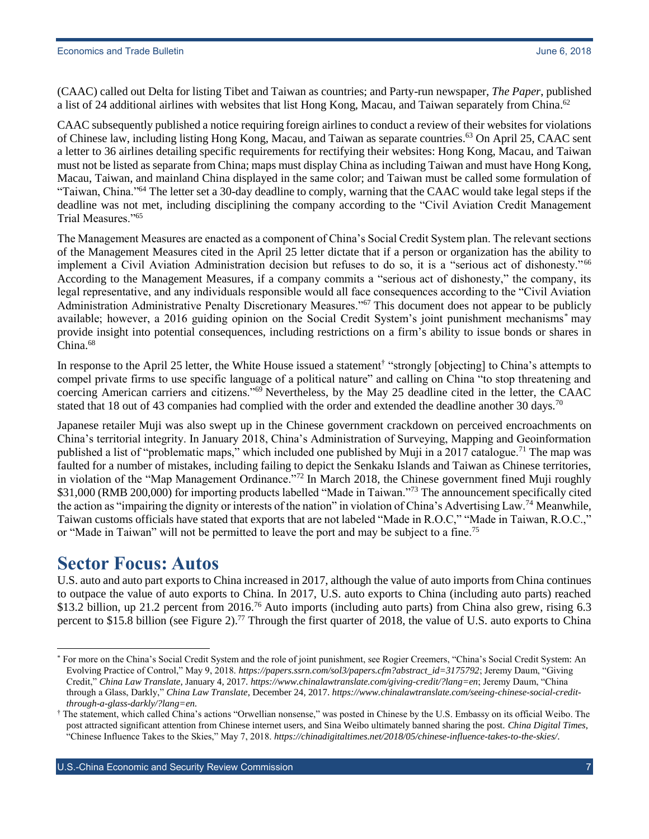(CAAC) called out Delta for listing Tibet and Taiwan as countries; and Party-run newspaper, *The Paper*, published a list of 24 additional airlines with websites that list Hong Kong, Macau, and Taiwan separately from China.<sup>62</sup>

CAAC subsequently published a notice requiring foreign airlines to conduct a review of their websites for violations of Chinese law, including listing Hong Kong, Macau, and Taiwan as separate countries.<sup>63</sup> On April 25, CAAC sent a letter to 36 airlines detailing specific requirements for rectifying their websites: Hong Kong, Macau, and Taiwan must not be listed as separate from China; maps must display China as including Taiwan and must have Hong Kong, Macau, Taiwan, and mainland China displayed in the same color; and Taiwan must be called some formulation of "Taiwan, China."<sup>64</sup> The letter set a 30-day deadline to comply, warning that the CAAC would take legal steps if the deadline was not met, including disciplining the company according to the "Civil Aviation Credit Management Trial Measures."<sup>65</sup>

The Management Measures are enacted as a component of China's Social Credit System plan. The relevant sections of the Management Measures cited in the April 25 letter dictate that if a person or organization has the ability to implement a Civil Aviation Administration decision but refuses to do so, it is a "serious act of dishonesty."<sup>66</sup> According to the Management Measures, if a company commits a "serious act of dishonesty," the company, its legal representative, and any individuals responsible would all face consequences according to the "Civil Aviation Administration Administrative Penalty Discretionary Measures."<sup>67</sup> This document does not appear to be publicly available; however, a 2016 guiding opinion on the Social Credit System's joint punishment mechanisms\* may provide insight into potential consequences, including restrictions on a firm's ability to issue bonds or shares in China.<sup>68</sup>

In response to the April 25 letter, the White House issued a statement<sup>†</sup> "strongly [objecting] to China's attempts to compel private firms to use specific language of a political nature" and calling on China "to stop threatening and coercing American carriers and citizens."<sup>69</sup> Nevertheless, by the May 25 deadline cited in the letter, the CAAC stated that 18 out of 43 companies had complied with the order and extended the deadline another 30 days.<sup>70</sup>

Japanese retailer Muji was also swept up in the Chinese government crackdown on perceived encroachments on China's territorial integrity. In January 2018, China's Administration of Surveying, Mapping and Geoinformation published a list of "problematic maps," which included one published by Muji in a 2017 catalogue.<sup>71</sup> The map was faulted for a number of mistakes, including failing to depict the Senkaku Islands and Taiwan as Chinese territories, in violation of the "Map Management Ordinance."<sup>72</sup> In March 2018, the Chinese government fined Muji roughly \$31,000 (RMB 200,000) for importing products labelled "Made in Taiwan."<sup>73</sup> The announcement specifically cited the action as "impairing the dignity or interests of the nation" in violation of China's Advertising Law.<sup>74</sup> Meanwhile, Taiwan customs officials have stated that exports that are not labeled "Made in R.O.C," "Made in Taiwan, R.O.C.," or "Made in Taiwan" will not be permitted to leave the port and may be subject to a fine.<sup>75</sup>

### <span id="page-6-0"></span>**Sector Focus: Autos**

 $\overline{a}$ 

U.S. auto and auto part exports to China increased in 2017, although the value of auto imports from China continues to outpace the value of auto exports to China. In 2017, U.S. auto exports to China (including auto parts) reached \$13.2 billion, up 21.2 percent from 2016.<sup>76</sup> Auto imports (including auto parts) from China also grew, rising 6.3 percent to \$15.8 billion (see Figure 2).<sup>77</sup> Through the first quarter of 2018, the value of U.S. auto exports to China

For more on the China's Social Credit System and the role of joint punishment, see Rogier Creemers, "China's Social Credit System: An Evolving Practice of Control," May 9, 2018. *[https://papers.ssrn.com/sol3/papers.cfm?abstract\\_id=3175792](https://papers.ssrn.com/sol3/papers.cfm?abstract_id=3175792)*; Jeremy Daum, "Giving Credit," *China Law Translate*, January 4, 2017. *<https://www.chinalawtranslate.com/giving-credit/?lang=en>*; Jeremy Daum, "China through a Glass, Darkly," *China Law Translate*, December 24, 2017. *[https://www.chinalawtranslate.com/seeing-chinese-social-credit](https://www.chinalawtranslate.com/seeing-chinese-social-credit-through-a-glass-darkly/?lang=en)[through-a-glass-darkly/?lang=en](https://www.chinalawtranslate.com/seeing-chinese-social-credit-through-a-glass-darkly/?lang=en)*.

<sup>†</sup> The statement, which called China's actions "Orwellian nonsense," was posted in Chinese by the U.S. Embassy on its official Weibo. The post attracted significant attention from Chinese internet users, and Sina Weibo ultimately banned sharing the post. *China Digital Times*, "Chinese Influence Takes to the Skies," May 7, 2018. *<https://chinadigitaltimes.net/2018/05/chinese-influence-takes-to-the-skies/>*.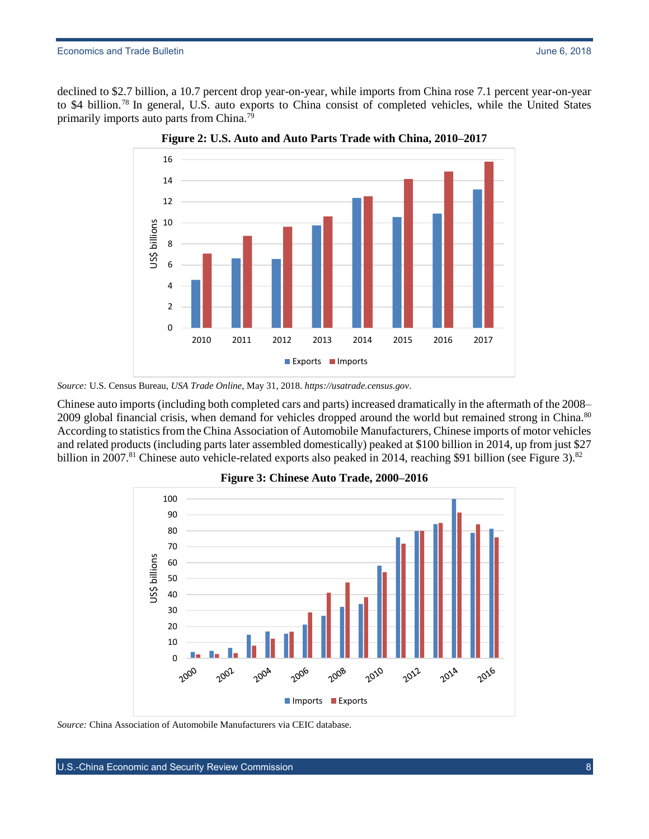declined to \$2.7 billion, a 10.7 percent drop year-on-year, while imports from China rose 7.1 percent year-on-year to \$4 billion.<sup>78</sup> In general, U.S. auto exports to China consist of completed vehicles, while the United States primarily imports auto parts from China.<sup>79</sup>



**Figure 2: U.S. Auto and Auto Parts Trade with China, 2010–2017**

Chinese auto imports (including both completed cars and parts) increased dramatically in the aftermath of the 2008– 2009 global financial crisis, when demand for vehicles dropped around the world but remained strong in China.<sup>80</sup> According to statistics from the China Association of Automobile Manufacturers, Chinese imports of motor vehicles and related products (including parts later assembled domestically) peaked at \$100 billion in 2014, up from just \$27 billion in 2007.<sup>81</sup> Chinese auto vehicle-related exports also peaked in 2014, reaching \$91 billion (see Figure 3).<sup>82</sup>





*Source:* China Association of Automobile Manufacturers via CEIC database.

*Source:* U.S. Census Bureau, *USA Trade Online*, May 31, 2018. *[https://usatrade.census.gov](https://usatrade.census.gov/)*.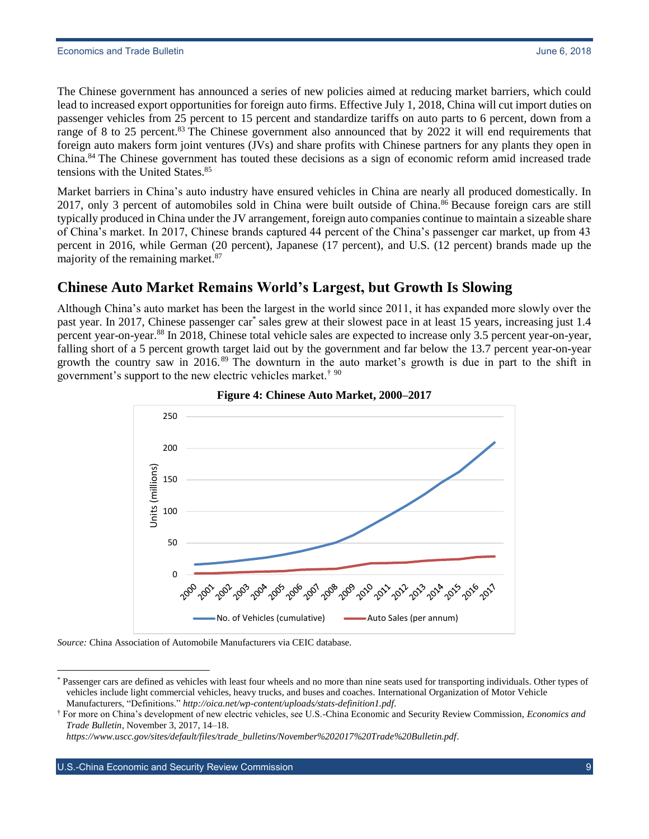The Chinese government has announced a series of new policies aimed at reducing market barriers, which could lead to increased export opportunities for foreign auto firms. Effective July 1, 2018, China will cut import duties on passenger vehicles from 25 percent to 15 percent and standardize tariffs on auto parts to 6 percent, down from a range of 8 to 25 percent.<sup>83</sup> The Chinese government also announced that by 2022 it will end requirements that foreign auto makers form joint ventures (JVs) and share profits with Chinese partners for any plants they open in China.<sup>84</sup> The Chinese government has touted these decisions as a sign of economic reform amid increased trade tensions with the United States.<sup>85</sup>

Market barriers in China's auto industry have ensured vehicles in China are nearly all produced domestically. In 2017, only 3 percent of automobiles sold in China were built outside of China.<sup>86</sup> Because foreign cars are still typically produced in China under the JV arrangement, foreign auto companies continue to maintain a sizeable share of China's market. In 2017, Chinese brands captured 44 percent of the China's passenger car market, up from 43 percent in 2016, while German (20 percent), Japanese (17 percent), and U.S. (12 percent) brands made up the majority of the remaining market.<sup>87</sup>

### <span id="page-8-0"></span>**Chinese Auto Market Remains World's Largest, but Growth Is Slowing**

Although China's auto market has been the largest in the world since 2011, it has expanded more slowly over the past year. In 2017, Chinese passenger car\* sales grew at their slowest pace in at least 15 years, increasing just 1.4 percent year-on-year.<sup>88</sup> In 2018, Chinese total vehicle sales are expected to increase only 3.5 percent year-on-year, falling short of a 5 percent growth target laid out by the government and far below the 13.7 percent year-on-year growth the country saw in 2016.<sup>89</sup> The downturn in the auto market's growth is due in part to the shift in government's support to the new electric vehicles market.† <sup>90</sup>





#### *Source:* China Association of Automobile Manufacturers via CEIC database.

 $\overline{a}$ 

<sup>\*</sup> Passenger cars are defined as vehicles with least four wheels and no more than nine seats used for transporting individuals. Other types of vehicles include light commercial vehicles, heavy trucks, and buses and coaches. International Organization of Motor Vehicle Manufacturers, "Definitions." *<http://oica.net/wp-content/uploads/stats-definition1.pdf>*.

<sup>†</sup> For more on China's development of new electric vehicles, see U.S.-China Economic and Security Review Commission, *Economics and Trade Bulletin*, November 3, 2017, 14–18.

*[https://www.uscc.gov/sites/default/files/trade\\_bulletins/November%202017%20Trade%20Bulletin.pdf](https://www.uscc.gov/sites/default/files/trade_bulletins/November%202017%20Trade%20Bulletin.pdf)*.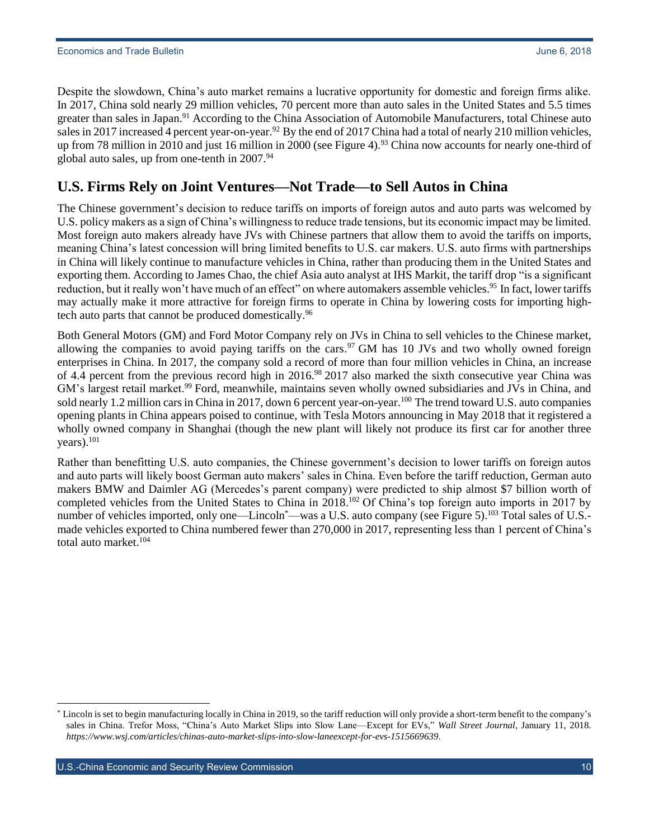Despite the slowdown, China's auto market remains a lucrative opportunity for domestic and foreign firms alike. In 2017, China sold nearly 29 million vehicles, 70 percent more than auto sales in the United States and 5.5 times greater than sales in Japan.<sup>91</sup> According to the China Association of Automobile Manufacturers, total Chinese auto sales in 2017 increased 4 percent year-on-year.<sup>92</sup> By the end of 2017 China had a total of nearly 210 million vehicles, up from 78 million in 2010 and just 16 million in 2000 (see Figure 4).<sup>93</sup> China now accounts for nearly one-third of global auto sales, up from one-tenth in 2007.94

#### <span id="page-9-0"></span>**U.S. Firms Rely on Joint Ventures—Not Trade—to Sell Autos in China**

The Chinese government's decision to reduce tariffs on imports of foreign autos and auto parts was welcomed by U.S. policy makers as a sign of China's willingness to reduce trade tensions, but its economic impact may be limited. Most foreign auto makers already have JVs with Chinese partners that allow them to avoid the tariffs on imports, meaning China's latest concession will bring limited benefits to U.S. car makers. U.S. auto firms with partnerships in China will likely continue to manufacture vehicles in China, rather than producing them in the United States and exporting them. According to James Chao, the chief Asia auto analyst at IHS Markit, the tariff drop "is a significant reduction, but it really won't have much of an effect" on where automakers assemble vehicles.<sup>95</sup> In fact, lower tariffs may actually make it more attractive for foreign firms to operate in China by lowering costs for importing hightech auto parts that cannot be produced domestically.<sup>96</sup>

Both General Motors (GM) and Ford Motor Company rely on JVs in China to sell vehicles to the Chinese market, allowing the companies to avoid paying tariffs on the cars.<sup>97</sup> GM has 10 JVs and two wholly owned foreign enterprises in China. In 2017, the company sold a record of more than four million vehicles in China, an increase of 4.4 percent from the previous record high in 2016.<sup>98</sup> 2017 also marked the sixth consecutive year China was GM's largest retail market.<sup>99</sup> Ford, meanwhile, maintains seven wholly owned subsidiaries and JVs in China, and sold nearly 1.2 million cars in China in 2017, down 6 percent year-on-year.<sup>100</sup> The trend toward U.S. auto companies opening plants in China appears poised to continue, with Tesla Motors announcing in May 2018 that it registered a wholly owned company in Shanghai (though the new plant will likely not produce its first car for another three years). 101

Rather than benefitting U.S. auto companies, the Chinese government's decision to lower tariffs on foreign autos and auto parts will likely boost German auto makers' sales in China. Even before the tariff reduction, German auto makers BMW and Daimler AG (Mercedes's parent company) were predicted to ship almost \$7 billion worth of completed vehicles from the United States to China in 2018.<sup>102</sup> Of China's top foreign auto imports in 2017 by number of vehicles imported, only one—Lincoln\*—was a U.S. auto company (see Figure 5).<sup>103</sup> Total sales of U.S.made vehicles exported to China numbered fewer than 270,000 in 2017, representing less than 1 percent of China's total auto market.<sup>104</sup>

U.S.-China Economic and Security Review Commission **10** November 10 November 2012 10 November 2014

Lincoln is set to begin manufacturing locally in China in 2019, so the tariff reduction will only provide a short-term benefit to the company's sales in China. Trefor Moss, "China's Auto Market Slips into Slow Lane—Except for EVs," *Wall Street Journal*, January 11, 2018. *<https://www.wsj.com/articles/chinas-auto-market-slips-into-slow-laneexcept-for-evs-1515669639>*.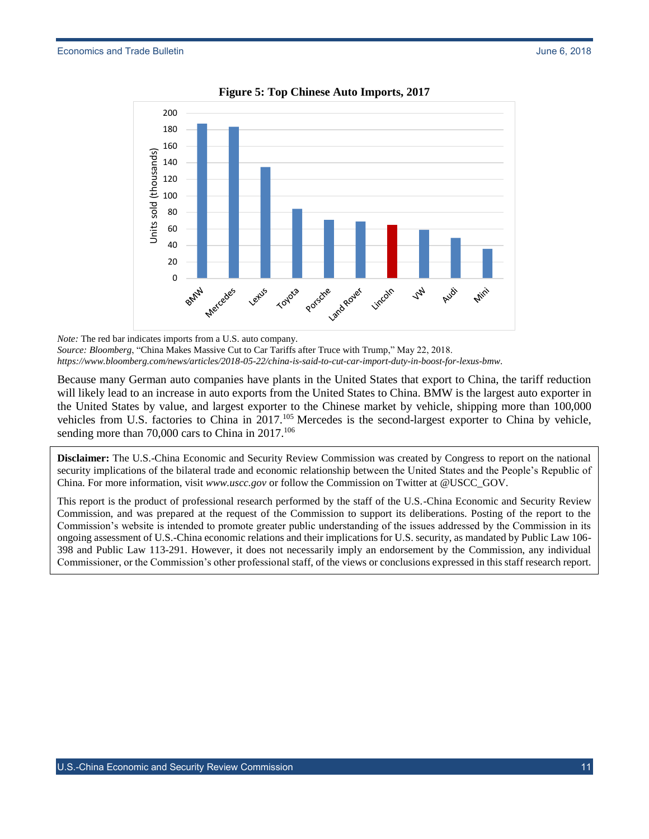

**Figure 5: Top Chinese Auto Imports, 2017**

Because many German auto companies have plants in the United States that export to China, the tariff reduction will likely lead to an increase in auto exports from the United States to China. BMW is the largest auto exporter in the United States by value, and largest exporter to the Chinese market by vehicle, shipping more than 100,000 vehicles from U.S. factories to China in 2017.<sup>105</sup> Mercedes is the second-largest exporter to China by vehicle, sending more than 70,000 cars to China in 2017.<sup>106</sup>

**Disclaimer:** The U.S.-China Economic and Security Review Commission was created by Congress to report on the national security implications of the bilateral trade and economic relationship between the United States and the People's Republic of China. For more information, visit *[www.uscc.gov](http://www.uscc.gov/)* or follow the Commission on Twitter at @USCC\_GOV.

This report is the product of professional research performed by the staff of the U.S.-China Economic and Security Review Commission, and was prepared at the request of the Commission to support its deliberations. Posting of the report to the Commission's website is intended to promote greater public understanding of the issues addressed by the Commission in its ongoing assessment of U.S.-China economic relations and their implications for U.S. security, as mandated by Public Law 106- 398 and Public Law 113-291. However, it does not necessarily imply an endorsement by the Commission, any individual Commissioner, or the Commission's other professional staff, of the views or conclusions expressed in this staff research report.

*Note:* The red bar indicates imports from a U.S. auto company. *Source: Bloomberg*, "China Makes Massive Cut to Car Tariffs after Truce with Trump," May 22, 2018. *<https://www.bloomberg.com/news/articles/2018-05-22/china-is-said-to-cut-car-import-duty-in-boost-for-lexus-bmw>*.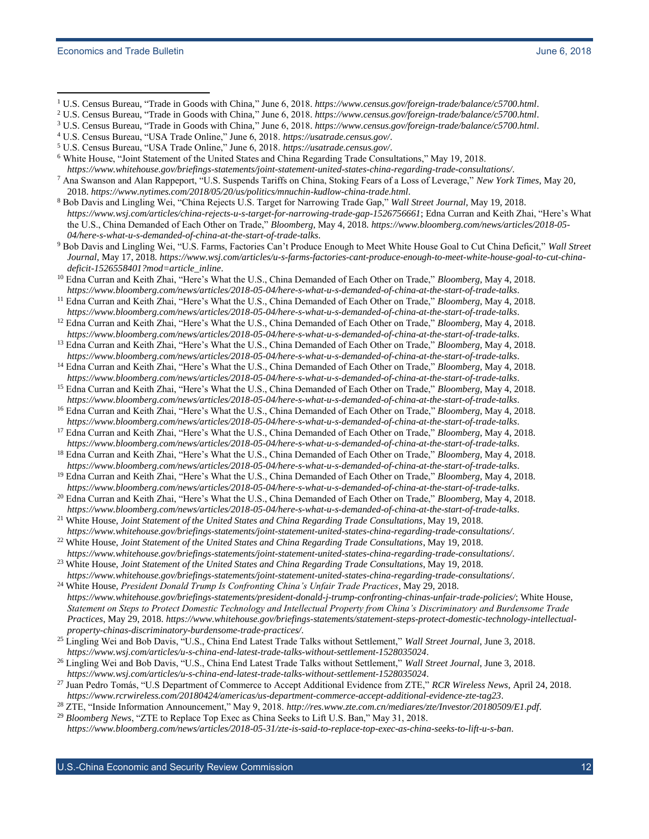- <sup>1</sup> U.S. Census Bureau, "Trade in Goods with China," June 6, 2018. *<https://www.census.gov/foreign-trade/balance/c5700.html>*.
- <sup>2</sup> U.S. Census Bureau, "Trade in Goods with China," June 6, 2018. *<https://www.census.gov/foreign-trade/balance/c5700.html>*.
- <sup>3</sup> U.S. Census Bureau, "Trade in Goods with China," June 6, 2018. *<https://www.census.gov/foreign-trade/balance/c5700.html>*.
- <sup>4</sup> U.S. Census Bureau, "USA Trade Online," June 6, 2018. *<https://usatrade.census.gov/>*.
- <sup>5</sup> U.S. Census Bureau, "USA Trade Online," June 6, 2018. *<https://usatrade.census.gov/>*.
- <sup>6</sup> White House, "Joint Statement of the United States and China Regarding Trade Consultations," May 19, 2018. *<https://www.whitehouse.gov/briefings-statements/joint-statement-united-states-china-regarding-trade-consultations/>*.
- <sup>7</sup> Ana Swanson and Alan Rappeport, "U.S. Suspends Tariffs on China, Stoking Fears of a Loss of Leverage," *New York Times*, May 20, 2018. *<https://www.nytimes.com/2018/05/20/us/politics/mnuchin-kudlow-china-trade.html>*.
- <sup>8</sup> Bob Davis and Lingling Wei, "China Rejects U.S. Target for Narrowing Trade Gap," *Wall Street Journal*, May 19, 2018. *<https://www.wsj.com/articles/china-rejects-u-s-target-for-narrowing-trade-gap-1526756661>*; Edna Curran and Keith Zhai, "Here's What the U.S., China Demanded of Each Other on Trade," *Bloomberg*, May 4, 2018. *[https://www.bloomberg.com/news/articles/2018-05-](https://www.bloomberg.com/news/articles/2018-05-04/here-s-what-u-s-demanded-of-china-at-the-start-of-trade-talks) [04/here-s-what-u-s-demanded-of-china-at-the-start-of-trade-talks](https://www.bloomberg.com/news/articles/2018-05-04/here-s-what-u-s-demanded-of-china-at-the-start-of-trade-talks)*.
- <sup>9</sup> Bob Davis and Lingling Wei, "U.S. Farms, Factories Can't Produce Enough to Meet White House Goal to Cut China Deficit," *Wall Street Journal*, May 17, 2018. *[https://www.wsj.com/articles/u-s-farms-factories-cant-produce-enough-to-meet-white-house-goal-to-cut-china](https://www.wsj.com/articles/u-s-farms-factories-cant-produce-enough-to-meet-white-house-goal-to-cut-china-deficit-1526558401?mod=article_inline)[deficit-1526558401?mod=article\\_inline](https://www.wsj.com/articles/u-s-farms-factories-cant-produce-enough-to-meet-white-house-goal-to-cut-china-deficit-1526558401?mod=article_inline)*.
- <sup>10</sup> Edna Curran and Keith Zhai, "Here's What the U.S., China Demanded of Each Other on Trade," *Bloomberg*, May 4, 2018. *<https://www.bloomberg.com/news/articles/2018-05-04/here-s-what-u-s-demanded-of-china-at-the-start-of-trade-talks>*.
- <sup>11</sup> Edna Curran and Keith Zhai, "Here's What the U.S., China Demanded of Each Other on Trade," *Bloomberg*, May 4, 2018.
- *<https://www.bloomberg.com/news/articles/2018-05-04/here-s-what-u-s-demanded-of-china-at-the-start-of-trade-talks>*. <sup>12</sup> Edna Curran and Keith Zhai, "Here's What the U.S., China Demanded of Each Other on Trade," *Bloomberg*, May 4, 2018. *<https://www.bloomberg.com/news/articles/2018-05-04/here-s-what-u-s-demanded-of-china-at-the-start-of-trade-talks>*.
- <sup>13</sup> Edna Curran and Keith Zhai, "Here's What the U.S., China Demanded of Each Other on Trade," *Bloomberg*, May 4, 2018. *<https://www.bloomberg.com/news/articles/2018-05-04/here-s-what-u-s-demanded-of-china-at-the-start-of-trade-talks>*.
- <sup>14</sup> Edna Curran and Keith Zhai, "Here's What the U.S., China Demanded of Each Other on Trade," *Bloomberg*, May 4, 2018. *<https://www.bloomberg.com/news/articles/2018-05-04/here-s-what-u-s-demanded-of-china-at-the-start-of-trade-talks>*.
- <sup>15</sup> Edna Curran and Keith Zhai, "Here's What the U.S., China Demanded of Each Other on Trade," *Bloomberg*, May 4, 2018. *<https://www.bloomberg.com/news/articles/2018-05-04/here-s-what-u-s-demanded-of-china-at-the-start-of-trade-talks>*.
- <sup>16</sup> Edna Curran and Keith Zhai, "Here's What the U.S., China Demanded of Each Other on Trade," *Bloomberg*, May 4, 2018.
- *<https://www.bloomberg.com/news/articles/2018-05-04/here-s-what-u-s-demanded-of-china-at-the-start-of-trade-talks>*. <sup>17</sup> Edna Curran and Keith Zhai, "Here's What the U.S., China Demanded of Each Other on Trade," *Bloomberg*, May 4, 2018.
- *<https://www.bloomberg.com/news/articles/2018-05-04/here-s-what-u-s-demanded-of-china-at-the-start-of-trade-talks>*. <sup>18</sup> Edna Curran and Keith Zhai, "Here's What the U.S., China Demanded of Each Other on Trade," *Bloomberg*, May 4, 2018. *<https://www.bloomberg.com/news/articles/2018-05-04/here-s-what-u-s-demanded-of-china-at-the-start-of-trade-talks>*.
- <sup>19</sup> Edna Curran and Keith Zhai, "Here's What the U.S., China Demanded of Each Other on Trade," *Bloomberg*, May 4, 2018. *<https://www.bloomberg.com/news/articles/2018-05-04/here-s-what-u-s-demanded-of-china-at-the-start-of-trade-talks>*.
- <sup>20</sup> Edna Curran and Keith Zhai, "Here's What the U.S., China Demanded of Each Other on Trade," *Bloomberg*, May 4, 2018. *<https://www.bloomberg.com/news/articles/2018-05-04/here-s-what-u-s-demanded-of-china-at-the-start-of-trade-talks>*.
- <sup>21</sup> White House, *Joint Statement of the United States and China Regarding Trade Consultations*, May 19, 2018. *<https://www.whitehouse.gov/briefings-statements/joint-statement-united-states-china-regarding-trade-consultations/>*.
- <sup>22</sup> White House, *Joint Statement of the United States and China Regarding Trade Consultations*, May 19, 2018. *<https://www.whitehouse.gov/briefings-statements/joint-statement-united-states-china-regarding-trade-consultations/>*.
- <sup>23</sup> White House, *Joint Statement of the United States and China Regarding Trade Consultations*, May 19, 2018. *<https://www.whitehouse.gov/briefings-statements/joint-statement-united-states-china-regarding-trade-consultations/>*.
- <sup>24</sup> White House, *President Donald Trump Is Confronting China's Unfair Trade Practices*, May 29, 2018. *<https://www.whitehouse.gov/briefings-statements/president-donald-j-trump-confronting-chinas-unfair-trade-policies/>*; White House, *Statement on Steps to Protect Domestic Technology and Intellectual Property from China's Discriminatory and Burdensome Trade Practices*, May 29, 2018. *[https://www.whitehouse.gov/briefings-statements/statement-steps-protect-domestic-technology-intellectual](https://www.whitehouse.gov/briefings-statements/statement-steps-protect-domestic-technology-intellectual-property-chinas-discriminatory-burdensome-trade-practices/)[property-chinas-discriminatory-burdensome-trade-practices/](https://www.whitehouse.gov/briefings-statements/statement-steps-protect-domestic-technology-intellectual-property-chinas-discriminatory-burdensome-trade-practices/)*.
- <sup>25</sup> Lingling Wei and Bob Davis, "U.S., China End Latest Trade Talks without Settlement," *Wall Street Journal*, June 3, 2018. *<https://www.wsj.com/articles/u-s-china-end-latest-trade-talks-without-settlement-1528035024>*.
- <sup>26</sup> Lingling Wei and Bob Davis, "U.S., China End Latest Trade Talks without Settlement," *Wall Street Journal*, June 3, 2018. *<https://www.wsj.com/articles/u-s-china-end-latest-trade-talks-without-settlement-1528035024>*.
- <sup>27</sup> Juan Pedro Tomás, "U.S Department of Commerce to Accept Additional Evidence from ZTE," *RCR Wireless News*, April 24, 2018. *<https://www.rcrwireless.com/20180424/americas/us-department-commerce-accept-additional-evidence-zte-tag23>*.
- <sup>28</sup> ZTE, "Inside Information Announcement," May 9, 2018. *<http://res.www.zte.com.cn/mediares/zte/Investor/20180509/E1.pdf>*.
- <sup>29</sup> *Bloomberg News*, "ZTE to Replace Top Exec as China Seeks to Lift U.S. Ban," May 31, 2018. *<https://www.bloomberg.com/news/articles/2018-05-31/zte-is-said-to-replace-top-exec-as-china-seeks-to-lift-u-s-ban>*.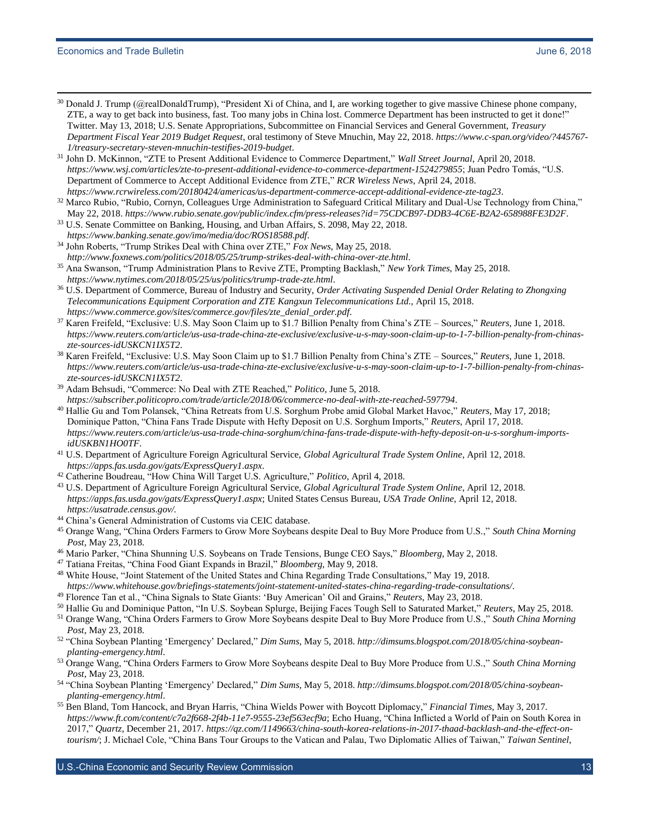- <sup>30</sup> Donald J. Trump (@realDonaldTrump), "President Xi of China, and I, are working together to give massive Chinese phone company, ZTE, a way to get back into business, fast. Too many jobs in China lost. Commerce Department has been instructed to get it done!" Twitter. May 13, 2018; U.S. Senate Appropriations, Subcommittee on Financial Services and General Government, *Treasury Department Fiscal Year 2019 Budget Request*, oral testimony of Steve Mnuchin, May 22, 2018. *[https://www.c-span.org/video/?445767-](https://www.c-span.org/video/?445767-1/treasury-secretary-steven-mnuchin-testifies-2019-budget) [1/treasury-secretary-steven-mnuchin-testifies-2019-budget](https://www.c-span.org/video/?445767-1/treasury-secretary-steven-mnuchin-testifies-2019-budget)*.
- <sup>31</sup> John D. McKinnon, "ZTE to Present Additional Evidence to Commerce Department," *Wall Street Journal*, April 20, 2018. *<https://www.wsj.com/articles/zte-to-present-additional-evidence-to-commerce-department-1524279855>*; Juan Pedro Tomás, "U.S. Department of Commerce to Accept Additional Evidence from ZTE," *RCR Wireless News*, April 24, 2018. *<https://www.rcrwireless.com/20180424/americas/us-department-commerce-accept-additional-evidence-zte-tag23>*.
- <sup>32</sup> Marco Rubio, "Rubio, Cornyn, Colleagues Urge Administration to Safeguard Critical Military and Dual-Use Technology from China," May 22, 2018. *<https://www.rubio.senate.gov/public/index.cfm/press-releases?id=75CDCB97-DDB3-4C6E-B2A2-658988FE3D2F>*.
- <sup>33</sup> U.S. Senate Committee on Banking, Housing, and Urban Affairs, S. 2098, May 22, 2018. *<https://www.banking.senate.gov/imo/media/doc/ROS18588.pdf>*.
- <sup>34</sup> John Roberts, "Trump Strikes Deal with China over ZTE," *Fox News*, May 25, 2018. *<http://www.foxnews.com/politics/2018/05/25/trump-strikes-deal-with-china-over-zte.html>*.
- <sup>35</sup> Ana Swanson, "Trump Administration Plans to Revive ZTE, Prompting Backlash," *New York Times*, May 25, 2018. *<https://www.nytimes.com/2018/05/25/us/politics/trump-trade-zte.html>*.
- <sup>36</sup> U.S. Department of Commerce, Bureau of Industry and Security, *Order Activating Suspended Denial Order Relating to Zhongxing Telecommunications Equipment Corporation and ZTE Kangxun Telecommunications Ltd.*, April 15, 2018. *[https://www.commerce.gov/sites/commerce.gov/files/zte\\_denial\\_order.pdf](https://www.commerce.gov/sites/commerce.gov/files/zte_denial_order.pdf)*.
- <sup>37</sup> Karen Freifeld, "Exclusive: U.S. May Soon Claim up to \$1.7 Billion Penalty from China's ZTE Sources," *Reuters*, June 1, 2018. *[https://www.reuters.com/article/us-usa-trade-china-zte-exclusive/exclusive-u-s-may-soon-claim-up-to-1-7-billion-penalty-from-chinas](https://www.reuters.com/article/us-usa-trade-china-zte-exclusive/exclusive-u-s-may-soon-claim-up-to-1-7-billion-penalty-from-chinas-zte-sources-idUSKCN1IX5T2)[zte-sources-idUSKCN1IX5T2](https://www.reuters.com/article/us-usa-trade-china-zte-exclusive/exclusive-u-s-may-soon-claim-up-to-1-7-billion-penalty-from-chinas-zte-sources-idUSKCN1IX5T2)*.
- <sup>38</sup> Karen Freifeld, "Exclusive: U.S. May Soon Claim up to \$1.7 Billion Penalty from China's ZTE Sources," *Reuters*, June 1, 2018. *[https://www.reuters.com/article/us-usa-trade-china-zte-exclusive/exclusive-u-s-may-soon-claim-up-to-1-7-billion-penalty-from-chinas](https://www.reuters.com/article/us-usa-trade-china-zte-exclusive/exclusive-u-s-may-soon-claim-up-to-1-7-billion-penalty-from-chinas-zte-sources-idUSKCN1IX5T2)[zte-sources-idUSKCN1IX5T2](https://www.reuters.com/article/us-usa-trade-china-zte-exclusive/exclusive-u-s-may-soon-claim-up-to-1-7-billion-penalty-from-chinas-zte-sources-idUSKCN1IX5T2)*.
- <sup>39</sup> Adam Behsudi, "Commerce: No Deal with ZTE Reached," *Politico*, June 5, 2018. *<https://subscriber.politicopro.com/trade/article/2018/06/commerce-no-deal-with-zte-reached-597794>*.
- <sup>40</sup> Hallie Gu and Tom Polansek, "China Retreats from U.S. Sorghum Probe amid Global Market Havoc," *Reuters*, May 17, 2018; Dominique Patton, "China Fans Trade Dispute with Hefty Deposit on U.S. Sorghum Imports," *Reuters*, April 17, 2018. *[https://www.reuters.com/article/us-usa-trade-china-sorghum/china-fans-trade-dispute-with-hefty-deposit-on-u-s-sorghum-imports](https://www.reuters.com/article/us-usa-trade-china-sorghum/china-fans-trade-dispute-with-hefty-deposit-on-u-s-sorghum-imports-idUSKBN1HO0TF)[idUSKBN1HO0TF](https://www.reuters.com/article/us-usa-trade-china-sorghum/china-fans-trade-dispute-with-hefty-deposit-on-u-s-sorghum-imports-idUSKBN1HO0TF)*.
- <sup>41</sup> U.S. Department of Agriculture Foreign Agricultural Service, *Global Agricultural Trade System Online*, April 12, 2018. *<https://apps.fas.usda.gov/gats/ExpressQuery1.aspx>*.
- <sup>42</sup> Catherine Boudreau, "How China Will Target U.S. Agriculture," *Politico*, April 4, 2018.
- <sup>43</sup> U.S. Department of Agriculture Foreign Agricultural Service, *Global Agricultural Trade System Online*, April 12, 2018. *<https://apps.fas.usda.gov/gats/ExpressQuery1.aspx>*; United States Census Bureau, *USA Trade Online*, April 12, 2018. *https://usatrade.census.gov/.*
- <sup>44</sup> China's General Administration of Customs via CEIC database.
- <sup>45</sup> Orange Wang, "China Orders Farmers to Grow More Soybeans despite Deal to Buy More Produce from U.S.," *South China Morning Post*, May 23, 2018.
- <sup>46</sup> Mario Parker, "China Shunning U.S. Soybeans on Trade Tensions, Bunge CEO Says," *Bloomberg*, May 2, 2018.
- <sup>47</sup> Tatiana Freitas, "China Food Giant Expands in Brazil," *Bloomberg*, May 9, 2018.
- <sup>48</sup> White House, "Joint Statement of the United States and China Regarding Trade Consultations," May 19, 2018.
- *<https://www.whitehouse.gov/briefings-statements/joint-statement-united-states-china-regarding-trade-consultations/>*.
- <sup>49</sup> Florence Tan et al., "China Signals to State Giants: 'Buy American' Oil and Grains," *Reuters*, May 23, 2018.
- <sup>50</sup> Hallie Gu and Dominique Patton, "In U.S. Soybean Splurge, Beijing Faces Tough Sell to Saturated Market," *Reuters*, May 25, 2018.
- <sup>51</sup> Orange Wang, "China Orders Farmers to Grow More Soybeans despite Deal to Buy More Produce from U.S.," *South China Morning Post*, May 23, 2018.
- <sup>52</sup> "China Soybean Planting 'Emergency' Declared," *Dim Sums*, May 5, 2018. *[http://dimsums.blogspot.com/2018/05/china-soybean](http://dimsums.blogspot.com/2018/05/china-soybean-planting-emergency.html)[planting-emergency.html](http://dimsums.blogspot.com/2018/05/china-soybean-planting-emergency.html)*.
- <sup>53</sup> Orange Wang, "China Orders Farmers to Grow More Soybeans despite Deal to Buy More Produce from U.S.," *South China Morning Post*, May 23, 2018.
- <sup>54</sup> "China Soybean Planting 'Emergency' Declared," *Dim Sums*, May 5, 2018. *[http://dimsums.blogspot.com/2018/05/china-soybean](http://dimsums.blogspot.com/2018/05/china-soybean-planting-emergency.html)[planting-emergency.html](http://dimsums.blogspot.com/2018/05/china-soybean-planting-emergency.html)*.
- <sup>55</sup> Ben Bland, Tom Hancock, and Bryan Harris, "China Wields Power with Boycott Diplomacy," *Financial Times*, May 3, 2017. *<https://www.ft.com/content/c7a2f668-2f4b-11e7-9555-23ef563ecf9a>*; Echo Huang, "China Inflicted a World of Pain on South Korea in 2017," *Quartz*, December 21, 2017. *[https://qz.com/1149663/china-south-korea-relations-in-2017-thaad-backlash-and-the-effect-on](https://qz.com/1149663/china-south-korea-relations-in-2017-thaad-backlash-and-the-effect-on-tourism/)[tourism/](https://qz.com/1149663/china-south-korea-relations-in-2017-thaad-backlash-and-the-effect-on-tourism/)*; J. Michael Cole, "China Bans Tour Groups to the Vatican and Palau, Two Diplomatic Allies of Taiwan," *Taiwan Sentinel*,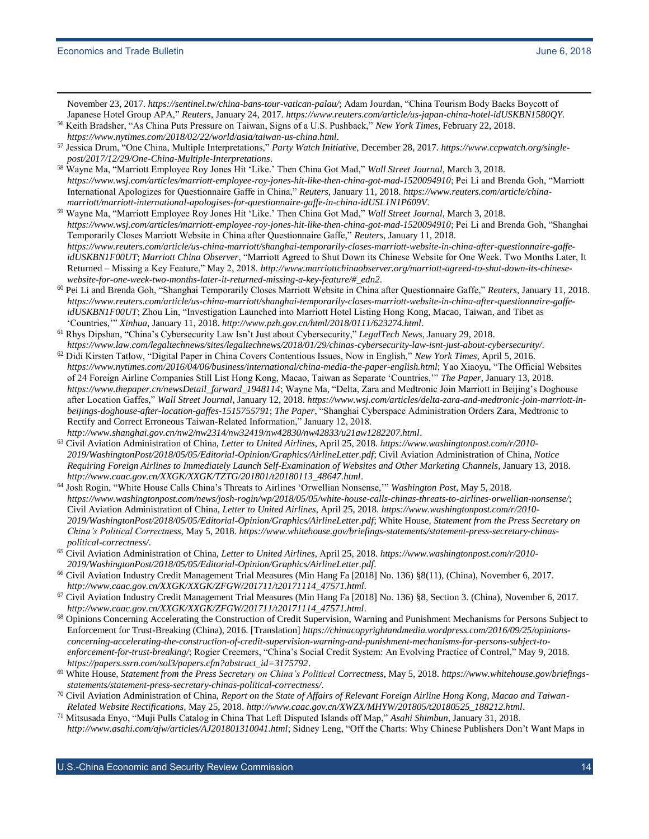November 23, 2017. *<https://sentinel.tw/china-bans-tour-vatican-palau/>*; Adam Jourdan, "China Tourism Body Backs Boycott of Japanese Hotel Group APA," *Reuters*, January 24, 2017. *<https://www.reuters.com/article/us-japan-china-hotel-idUSKBN1580QY>*.

<sup>56</sup> Keith Bradsher, "As China Puts Pressure on Taiwan, Signs of a U.S. Pushback," *New York Times*, February 22, 2018. *<https://www.nytimes.com/2018/02/22/world/asia/taiwan-us-china.html>*.

<sup>57</sup> Jessica Drum, "One China, Multiple Interpretations," *Party Watch Initiative*, December 28, 2017. *[https://www.ccpwatch.org/single](https://www.ccpwatch.org/single-post/2017/12/29/One-China-Multiple-Interpretations)[post/2017/12/29/One-China-Multiple-Interpretations](https://www.ccpwatch.org/single-post/2017/12/29/One-China-Multiple-Interpretations)*.

- <sup>58</sup> Wayne Ma, "Marriott Employee Roy Jones Hit 'Like.' Then China Got Mad," *Wall Street Journal*, March 3, 2018. *<https://www.wsj.com/articles/marriott-employee-roy-jones-hit-like-then-china-got-mad-1520094910>*; Pei Li and Brenda Goh, "Marriott International Apologizes for Questionnaire Gaffe in China," *Reuters*, January 11, 2018. *[https://www.reuters.com/article/china](https://www.reuters.com/article/china-marriott/marriott-international-apologises-for-questionnaire-gaffe-in-china-idUSL1N1P609V)[marriott/marriott-international-apologises-for-questionnaire-gaffe-in-china-idUSL1N1P609V](https://www.reuters.com/article/china-marriott/marriott-international-apologises-for-questionnaire-gaffe-in-china-idUSL1N1P609V)*.
- <sup>59</sup> Wayne Ma, "Marriott Employee Roy Jones Hit 'Like.' Then China Got Mad," *Wall Street Journal*, March 3, 2018. *<https://www.wsj.com/articles/marriott-employee-roy-jones-hit-like-then-china-got-mad-1520094910>*; Pei Li and Brenda Goh, "Shanghai Temporarily Closes Marriott Website in China after Questionnaire Gaffe," *Reuters*, January 11, 2018. *[https://www.reuters.com/article/us-china-marriott/shanghai-temporarily-closes-marriott-website-in-china-after-questionnaire-gaffe](https://www.reuters.com/article/us-china-marriott/shanghai-temporarily-closes-marriott-website-in-china-after-questionnaire-gaffe-idUSKBN1F00UT)[idUSKBN1F00UT](https://www.reuters.com/article/us-china-marriott/shanghai-temporarily-closes-marriott-website-in-china-after-questionnaire-gaffe-idUSKBN1F00UT)*; *Marriott China Observer*, "Marriott Agreed to Shut Down its Chinese Website for One Week. Two Months Later, It Returned – Missing a Key Feature," May 2, 2018. *[http://www.marriottchinaobserver.org/marriott-agreed-to-shut-down-its-chinese](http://www.marriottchinaobserver.org/marriott-agreed-to-shut-down-its-chinese-website-for-one-week-two-months-later-it-returned-missing-a-key-feature/#_edn2)[website-for-one-week-two-months-later-it-returned-missing-a-key-feature/#\\_edn2](http://www.marriottchinaobserver.org/marriott-agreed-to-shut-down-its-chinese-website-for-one-week-two-months-later-it-returned-missing-a-key-feature/#_edn2)*.
- <sup>60</sup> Pei Li and Brenda Goh, "Shanghai Temporarily Closes Marriott Website in China after Questionnaire Gaffe," *Reuters*, January 11, 2018. *[https://www.reuters.com/article/us-china-marriott/shanghai-temporarily-closes-marriott-website-in-china-after-questionnaire-gaffe](https://www.reuters.com/article/us-china-marriott/shanghai-temporarily-closes-marriott-website-in-china-after-questionnaire-gaffe-idUSKBN1F00UT)[idUSKBN1F00UT](https://www.reuters.com/article/us-china-marriott/shanghai-temporarily-closes-marriott-website-in-china-after-questionnaire-gaffe-idUSKBN1F00UT)*; Zhou Lin, "Investigation Launched into Marriott Hotel Listing Hong Kong, Macao, Taiwan, and Tibet as 'Countries,'" *Xinhua*, January 11, 2018. *<http://www.pzh.gov.cn/html/2018/0111/623274.html>*.
- <sup>61</sup> Rhys Dipshan, "China's Cybersecurity Law Isn't Just about Cybersecurity," *LegalTech News*, January 29, 2018. *<https://www.law.com/legaltechnews/sites/legaltechnews/2018/01/29/chinas-cybersecurity-law-isnt-just-about-cybersecurity/>*.
- <sup>62</sup> Didi Kirsten Tatlow, "Digital Paper in China Covers Contentious Issues, Now in English," *New York Times*, April 5, 2016. *<https://www.nytimes.com/2016/04/06/business/international/china-media-the-paper-english.html>*; Yao Xiaoyu, "The Official Websites of 24 Foreign Airline Companies Still List Hong Kong, Macao, Taiwan as Separate 'Countries,'" *The Paper*, January 13, 2018. *[https://www.thepaper.cn/newsDetail\\_forward\\_1948114](https://www.thepaper.cn/newsDetail_forward_1948114)*; Wayne Ma, "Delta, Zara and Medtronic Join Marriott in Beijing's Doghouse after Location Gaffes," *Wall Street Journal*, January 12, 2018. *[https://www.wsj.com/articles/delta-zara-and-medtronic-join-marriott-in](https://www.wsj.com/articles/delta-zara-and-medtronic-join-marriott-in-beijings-doghouse-after-location-gaffes-1515755791)[beijings-doghouse-after-location-gaffes-1515755791](https://www.wsj.com/articles/delta-zara-and-medtronic-join-marriott-in-beijings-doghouse-after-location-gaffes-1515755791)*; *The Paper*, "Shanghai Cyberspace Administration Orders Zara, Medtronic to Rectify and Correct Erroneous Taiwan-Related Information," January 12, 2018.
- *<http://www.shanghai.gov.cn/nw2/nw2314/nw32419/nw42830/nw42833/u21aw1282207.html>*. <sup>63</sup> Civil Aviation Administration of China, *Letter to United Airlines*, April 25, 2018. *[https://www.washingtonpost.com/r/2010-](https://www.washingtonpost.com/r/2010-2019/WashingtonPost/2018/05/05/Editorial-Opinion/Graphics/AirlineLetter.pdf) [2019/WashingtonPost/2018/05/05/Editorial-Opinion/Graphics/AirlineLetter.pdf](https://www.washingtonpost.com/r/2010-2019/WashingtonPost/2018/05/05/Editorial-Opinion/Graphics/AirlineLetter.pdf)*; Civil Aviation Administration of China, *Notice Requiring Foreign Airlines to Immediately Launch Self-Examination of Websites and Other Marketing Channels*, January 13, 2018. *[http://www.caac.gov.cn/XXGK/XXGK/TZTG/201801/t20180113\\_48647.html](http://www.caac.gov.cn/XXGK/XXGK/TZTG/201801/t20180113_48647.html)*.
- <sup>64</sup> Josh Rogin, "White House Calls China's Threats to Airlines 'Orwellian Nonsense,'" *Washington Post*, May 5, 2018. *<https://www.washingtonpost.com/news/josh-rogin/wp/2018/05/05/white-house-calls-chinas-threats-to-airlines-orwellian-nonsense/>*; Civil Aviation Administration of China, *Letter to United Airlines*, April 25, 2018. *[https://www.washingtonpost.com/r/2010-](https://www.washingtonpost.com/r/2010-2019/WashingtonPost/2018/05/05/Editorial-Opinion/Graphics/AirlineLetter.pdf) [2019/WashingtonPost/2018/05/05/Editorial-Opinion/Graphics/AirlineLetter.pdf](https://www.washingtonpost.com/r/2010-2019/WashingtonPost/2018/05/05/Editorial-Opinion/Graphics/AirlineLetter.pdf)*; White House, *Statement from the Press Secretary on China's Political Correctness*, May 5, 2018. *[https://www.whitehouse.gov/briefings-statements/statement-press-secretary-chinas](https://www.whitehouse.gov/briefings-statements/statement-press-secretary-chinas-political-correctness/)[political-correctness/](https://www.whitehouse.gov/briefings-statements/statement-press-secretary-chinas-political-correctness/)*.
- <sup>65</sup> Civil Aviation Administration of China, *Letter to United Airlines*, April 25, 2018. *[https://www.washingtonpost.com/r/2010-](https://www.washingtonpost.com/r/2010-2019/WashingtonPost/2018/05/05/Editorial-Opinion/Graphics/AirlineLetter.pdf) [2019/WashingtonPost/2018/05/05/Editorial-Opinion/Graphics/AirlineLetter.pdf](https://www.washingtonpost.com/r/2010-2019/WashingtonPost/2018/05/05/Editorial-Opinion/Graphics/AirlineLetter.pdf)*.
- <sup>66</sup> Civil Aviation Industry Credit Management Trial Measures (Min Hang Fa [2018] No. 136) §8(11), (China), November 6, 2017. *[http://www.caac.gov.cn/XXGK/XXGK/ZFGW/201711/t20171114\\_47571.html](http://www.caac.gov.cn/XXGK/XXGK/ZFGW/201711/t20171114_47571.html)*.
- <sup>67</sup> Civil Aviation Industry Credit Management Trial Measures (Min Hang Fa [2018] No. 136) §8, Section 3. (China), November 6, 2017. *[http://www.caac.gov.cn/XXGK/XXGK/ZFGW/201711/t20171114\\_47571.html](http://www.caac.gov.cn/XXGK/XXGK/ZFGW/201711/t20171114_47571.html)*.
- <sup>68</sup> Opinions Concerning Accelerating the Construction of Credit Supervision, Warning and Punishment Mechanisms for Persons Subject to Enforcement for Trust-Breaking (China), 2016. [Translation] *[https://chinacopyrightandmedia.wordpress.com/2016/09/25/opinions](https://chinacopyrightandmedia.wordpress.com/2016/09/25/opinions-concerning-accelerating-the-construction-of-credit-supervision-warning-and-punishment-mechanisms-for-persons-subject-to-enforcement-for-trust-breaking/)[concerning-accelerating-the-construction-of-credit-supervision-warning-and-punishment-mechanisms-for-persons-subject-to](https://chinacopyrightandmedia.wordpress.com/2016/09/25/opinions-concerning-accelerating-the-construction-of-credit-supervision-warning-and-punishment-mechanisms-for-persons-subject-to-enforcement-for-trust-breaking/)[enforcement-for-trust-breaking/](https://chinacopyrightandmedia.wordpress.com/2016/09/25/opinions-concerning-accelerating-the-construction-of-credit-supervision-warning-and-punishment-mechanisms-for-persons-subject-to-enforcement-for-trust-breaking/)*; Rogier Creemers, "China's Social Credit System: An Evolving Practice of Control," May 9, 2018. *[https://papers.ssrn.com/sol3/papers.cfm?abstract\\_id=3175792](https://papers.ssrn.com/sol3/papers.cfm?abstract_id=3175792)*.
- <sup>69</sup> White House, *Statement from the Press Secretary on China's Political Correctness*, May 5, 2018. *[https://www.whitehouse.gov/briefings](https://www.whitehouse.gov/briefings-statements/statement-press-secretary-chinas-political-correctness/)[statements/statement-press-secretary-chinas-political-correctness/](https://www.whitehouse.gov/briefings-statements/statement-press-secretary-chinas-political-correctness/)*.
- <sup>70</sup> Civil Aviation Administration of China, *Report on the State of Affairs of Relevant Foreign Airline Hong Kong, Macao and Taiwan-Related Website Rectifications*, May 25, 2018. *[http://www.caac.gov.cn/XWZX/MHYW/201805/t20180525\\_188212.html](http://www.caac.gov.cn/XWZX/MHYW/201805/t20180525_188212.html)*.
- <sup>71</sup> Mitsusada Enyo, "Muji Pulls Catalog in China That Left Disputed Islands off Map," *Asahi Shimbun*, January 31, 2018. *<http://www.asahi.com/ajw/articles/AJ201801310041.html>*; Sidney Leng, "Off the Charts: Why Chinese Publishers Don't Want Maps in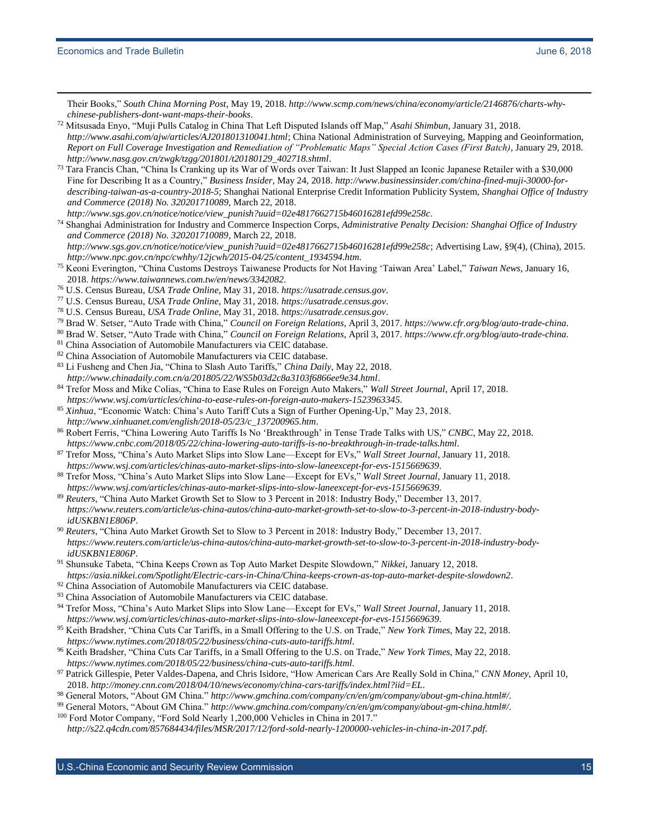Their Books," *South China Morning Post*, May 19, 2018. *[http://www.scmp.com/news/china/economy/article/2146876/charts-why](http://www.scmp.com/news/china/economy/article/2146876/charts-why-chinese-publishers-dont-want-maps-their-books)[chinese-publishers-dont-want-maps-their-books](http://www.scmp.com/news/china/economy/article/2146876/charts-why-chinese-publishers-dont-want-maps-their-books)*.

- <sup>72</sup> Mitsusada Enyo, "Muji Pulls Catalog in China That Left Disputed Islands off Map," *Asahi Shimbun*, January 31, 2018. *<http://www.asahi.com/ajw/articles/AJ201801310041.html>*; China National Administration of Surveying, Mapping and Geoinformation, *Report on Full Coverage Investigation and Remediation of "Problematic Maps" Special Action Cases (First Batch)*, January 29, 2018. *[http://www.nasg.gov.cn/zwgk/tzgg/201801/t20180129\\_402718.shtml](http://www.nasg.gov.cn/zwgk/tzgg/201801/t20180129_402718.shtml)*.
- <sup>73</sup> Tara Francis Chan, "China Is Cranking up its War of Words over Taiwan: It Just Slapped an Iconic Japanese Retailer with a \$30,000 Fine for Describing It as a Country," *Business Insider*, May 24, 2018. *[http://www.businessinsider.com/china-fined-muji-30000-for](http://www.businessinsider.com/china-fined-muji-30000-for-describing-taiwan-as-a-country-2018-5)[describing-taiwan-as-a-country-2018-5](http://www.businessinsider.com/china-fined-muji-30000-for-describing-taiwan-as-a-country-2018-5)*; Shanghai National Enterprise Credit Information Publicity System, *Shanghai Office of Industry and Commerce (2018) No. 320201710089*, March 22, 2018.
- *[http://www.sgs.gov.cn/notice/notice/view\\_punish?uuid=02e4817662715b46016281efd99e258c](http://www.sgs.gov.cn/notice/notice/view_punish?uuid=02e4817662715b46016281efd99e258c)*. <sup>74</sup> Shanghai Administration for Industry and Commerce Inspection Corps, *Administrative Penalty Decision: Shanghai Office of Industry and Commerce (2018) No. 320201710089*, March 22, 2018. *[http://www.sgs.gov.cn/notice/notice/view\\_punish?uuid=02e4817662715b46016281efd99e258c](http://www.sgs.gov.cn/notice/notice/view_punish?uuid=02e4817662715b46016281efd99e258c)*; Advertising Law, §9(4), (China), 2015. *[http://www.npc.gov.cn/npc/cwhhy/12jcwh/2015-04/25/content\\_1934594.htm](http://www.npc.gov.cn/npc/cwhhy/12jcwh/2015-04/25/content_1934594.htm)*.
- <sup>75</sup> Keoni Everington, "China Customs Destroys Taiwanese Products for Not Having 'Taiwan Area' Label," *Taiwan News*, January 16, 2018. *<https://www.taiwannews.com.tw/en/news/3342082>*.
- <sup>76</sup> U.S. Census Bureau, *USA Trade Online*, May 31, 2018. *[https://usatrade.census.gov](https://usatrade.census.gov/)*.
- <sup>77</sup> U.S. Census Bureau, *USA Trade Online*, May 31, 2018. *[https://usatrade.census.gov](https://usatrade.census.gov/)*.
- <sup>78</sup> U.S. Census Bureau, *USA Trade Online*, May 31, 2018. *[https://usatrade.census.gov](https://usatrade.census.gov/)*.
- <sup>79</sup> Brad W. Setser, "Auto Trade with China," *Council on Foreign Relations*, April 3, 2017. *<https://www.cfr.org/blog/auto-trade-china>*.
- <sup>80</sup> Brad W. Setser, "Auto Trade with China," *Council on Foreign Relations*, April 3, 2017. *<https://www.cfr.org/blog/auto-trade-china>*.
- <sup>81</sup> China Association of Automobile Manufacturers via CEIC database.
- 82 China Association of Automobile Manufacturers via CEIC database.
- <sup>83</sup> Li Fusheng and Chen Jia, "China to Slash Auto Tariffs," *China Daily*, May 22, 2018. *<http://www.chinadaily.com.cn/a/201805/22/WS5b03d2c8a3103f6866ee9e34.html>*.
- <sup>84</sup> Trefor Moss and Mike Colias, "China to Ease Rules on Foreign Auto Makers," *Wall Street Journal*, April 17, 2018. *<https://www.wsj.com/articles/china-to-ease-rules-on-foreign-auto-makers-1523963345>*.
- <sup>85</sup> *Xinhua*, "Economic Watch: China's Auto Tariff Cuts a Sign of Further Opening-Up," May 23, 2018. *[http://www.xinhuanet.com/english/2018-05/23/c\\_137200965.htm](http://www.xinhuanet.com/english/2018-05/23/c_137200965.htm)*.
- <sup>86</sup> Robert Ferris, "China Lowering Auto Tariffs Is No 'Breakthrough' in Tense Trade Talks with US," *CNBC*, May 22, 2018. *<https://www.cnbc.com/2018/05/22/china-lowering-auto-tariffs-is-no-breakthrough-in-trade-talks.html>*.
- <sup>87</sup> Trefor Moss, "China's Auto Market Slips into Slow Lane—Except for EVs," *Wall Street Journal*, January 11, 2018. *<https://www.wsj.com/articles/chinas-auto-market-slips-into-slow-laneexcept-for-evs-1515669639>*.
- <sup>88</sup> Trefor Moss, "China's Auto Market Slips into Slow Lane—Except for EVs," *Wall Street Journal*, January 11, 2018. *<https://www.wsj.com/articles/chinas-auto-market-slips-into-slow-laneexcept-for-evs-1515669639>*.
- <sup>89</sup> *Reuters*, "China Auto Market Growth Set to Slow to 3 Percent in 2018: Industry Body," December 13, 2017. *[https://www.reuters.com/article/us-china-autos/china-auto-market-growth-set-to-slow-to-3-percent-in-2018-industry-body](https://www.reuters.com/article/us-china-autos/china-auto-market-growth-set-to-slow-to-3-percent-in-2018-industry-body-idUSKBN1E806P)[idUSKBN1E806P](https://www.reuters.com/article/us-china-autos/china-auto-market-growth-set-to-slow-to-3-percent-in-2018-industry-body-idUSKBN1E806P)*.
- <sup>90</sup> *Reuters*, "China Auto Market Growth Set to Slow to 3 Percent in 2018: Industry Body," December 13, 2017. *[https://www.reuters.com/article/us-china-autos/china-auto-market-growth-set-to-slow-to-3-percent-in-2018-industry-body](https://www.reuters.com/article/us-china-autos/china-auto-market-growth-set-to-slow-to-3-percent-in-2018-industry-body-idUSKBN1E806P)[idUSKBN1E806P](https://www.reuters.com/article/us-china-autos/china-auto-market-growth-set-to-slow-to-3-percent-in-2018-industry-body-idUSKBN1E806P)*.
- <sup>91</sup> Shunsuke Tabeta, "China Keeps Crown as Top Auto Market Despite Slowdown," *Nikkei*, January 12, 2018. *<https://asia.nikkei.com/Spotlight/Electric-cars-in-China/China-keeps-crown-as-top-auto-market-despite-slowdown2>*.
- <sup>92</sup> China Association of Automobile Manufacturers via CEIC database.
- 93 China Association of Automobile Manufacturers via CEIC database.
- <sup>94</sup> Trefor Moss, "China's Auto Market Slips into Slow Lane—Except for EVs," *Wall Street Journal*, January 11, 2018. *<https://www.wsj.com/articles/chinas-auto-market-slips-into-slow-laneexcept-for-evs-1515669639>*.
- <sup>95</sup> Keith Bradsher, "China Cuts Car Tariffs, in a Small Offering to the U.S. on Trade," *New York Times*, May 22, 2018. *<https://www.nytimes.com/2018/05/22/business/china-cuts-auto-tariffs.html>*.
- <sup>96</sup> Keith Bradsher, "China Cuts Car Tariffs, in a Small Offering to the U.S. on Trade," *New York Times*, May 22, 2018. *<https://www.nytimes.com/2018/05/22/business/china-cuts-auto-tariffs.html>*.
- <sup>97</sup> Patrick Gillespie, Peter Valdes-Dapena, and Chris Isidore, "How American Cars Are Really Sold in China," *CNN Money*, April 10, 2018. *<http://money.cnn.com/2018/04/10/news/economy/china-cars-tariffs/index.html?iid=EL>*.
- <sup>98</sup> General Motors, "About GM China." *<http://www.gmchina.com/company/cn/en/gm/company/about-gm-china.html#/>*.
- <sup>99</sup> General Motors, "About GM China." *<http://www.gmchina.com/company/cn/en/gm/company/about-gm-china.html#/>*.

<sup>100</sup> Ford Motor Company, "Ford Sold Nearly 1,200,000 Vehicles in China in 2017."

*<http://s22.q4cdn.com/857684434/files/MSR/2017/12/ford-sold-nearly-1200000-vehicles-in-china-in-2017.pdf>*.